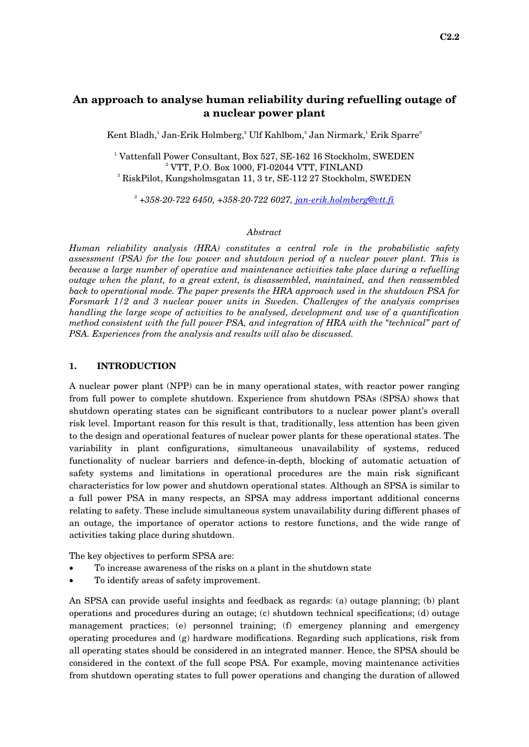Kent Bladh,<sup>1</sup> Jan-Erik Holmberg,<sup>2</sup> Ulf Kahlbom,<sup>3</sup> Jan Nirmark,<sup>1</sup> Erik Sparre<sup>3</sup>

<sup>1</sup> Vattenfall Power Consultant, Box 527, SE-162 16 Stockholm, SWEDEN  $2$  VTT, P.O. Box 1000, FI-02044 VTT, FINLAND RiskPilot, Kungsholmsgatan 11, 3 tr, SE-112 27 Stockholm, SWEDEN

*2 +358-20-722 6450, +358-20-722 6027, [jan-erik.holmberg@vtt.fi](mailto:jan-erik.holmberg@vtt.fi)*

#### *Abstract*

*Human reliability analysis (HRA) constitutes a central role in the probabilistic safety assessment (PSA) for the low power and shutdown period of a nuclear power plant. This is because a large number of operative and maintenance activities take place during a refuelling outage when the plant, to a great extent, is disassembled, maintained, and then reassembled back to operational mode. The paper presents the HRA approach used in the shutdown PSA for Forsmark 1/2 and 3 nuclear power units in Sweden. Challenges of the analysis comprises handling the large scope of activities to be analysed, development and use of a quantification method consistent with the full power PSA, and integration of HRA with the "technical" part of PSA. Experiences from the analysis and results will also be discussed.* 

### **1. INTRODUCTION**

A nuclear power plant (NPP) can be in many operational states, with reactor power ranging from full power to complete shutdown. Experience from shutdown PSAs (SPSA) shows that shutdown operating states can be significant contributors to a nuclear power plant's overall risk level. Important reason for this result is that, traditionally, less attention has been given to the design and operational features of nuclear power plants for these operational states. The variability in plant configurations, simultaneous unavailability of systems, reduced functionality of nuclear barriers and defence-in-depth, blocking of automatic actuation of safety systems and limitations in operational procedures are the main risk significant characteristics for low power and shutdown operational states. Although an SPSA is similar to a full power PSA in many respects, an SPSA may address important additional concerns relating to safety. These include simultaneous system unavailability during different phases of an outage, the importance of operator actions to restore functions, and the wide range of activities taking place during shutdown.

The key objectives to perform SPSA are:

- To increase awareness of the risks on a plant in the shutdown state
- To identify areas of safety improvement.

An SPSA can provide useful insights and feedback as regards: (a) outage planning; (b) plant operations and procedures during an outage; (c) shutdown technical specifications; (d) outage management practices; (e) personnel training; (f) emergency planning and emergency operating procedures and (g) hardware modifications. Regarding such applications, risk from all operating states should be considered in an integrated manner. Hence, the SPSA should be considered in the context of the full scope PSA. For example, moving maintenance activities from shutdown operating states to full power operations and changing the duration of allowed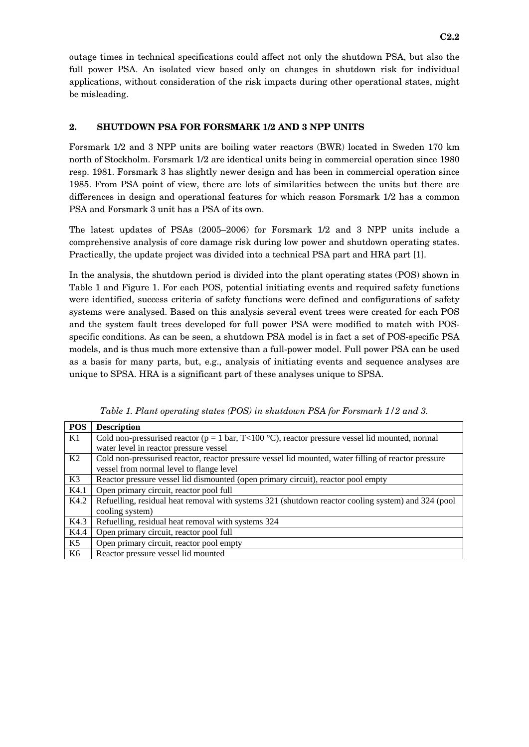outage times in technical specifications could affect not only the shutdown PSA, but also the full power PSA. An isolated view based only on changes in shutdown risk for individual applications, without consideration of the risk impacts during other operational states, might be misleading.

# **2. SHUTDOWN PSA FOR FORSMARK 1/2 AND 3 NPP UNITS**

Forsmark 1/2 and 3 NPP units are boiling water reactors (BWR) located in Sweden 170 km north of Stockholm. Forsmark 1/2 are identical units being in commercial operation since 1980 resp. 1981. Forsmark 3 has slightly newer design and has been in commercial operation since 1985. From PSA point of view, there are lots of similarities between the units but there are differences in design and operational features for which reason Forsmark 1/2 has a common PSA and Forsmark 3 unit has a PSA of its own.

The latest updates of PSAs (2005–2006) for Forsmark 1/2 and 3 NPP units include a comprehensive analysis of core damage risk during low power and shutdown operating states. Practically, the update project was divided into a technical PSA part and HRA part [1].

In the analysis, the shutdown period is divided into the plant operating states (POS) shown in Table 1 and Figure 1. For each POS, potential initiating events and required safety functions were identified, success criteria of safety functions were defined and configurations of safety systems were analysed. Based on this analysis several event trees were created for each POS and the system fault trees developed for full power PSA were modified to match with POSspecific conditions. As can be seen, a shutdown PSA model is in fact a set of POS-specific PSA models, and is thus much more extensive than a full-power model. Full power PSA can be used as a basis for many parts, but, e.g., analysis of initiating events and sequence analyses are unique to SPSA. HRA is a significant part of these analyses unique to SPSA.

| <b>POS</b> | <b>Description</b>                                                                                     |
|------------|--------------------------------------------------------------------------------------------------------|
| K1         | Cold non-pressurised reactor ( $p = 1$ bar, $T < 100$ °C), reactor pressure vessel lid mounted, normal |
|            | water level in reactor pressure vessel                                                                 |
| K2         | Cold non-pressurised reactor, reactor pressure vessel lid mounted, water filling of reactor pressure   |
|            | vessel from normal level to flange level                                                               |
| K3         | Reactor pressure vessel lid dismounted (open primary circuit), reactor pool empty                      |
| K4.1       | Open primary circuit, reactor pool full                                                                |
| K4.2       | Refuelling, residual heat removal with systems 321 (shutdown reactor cooling system) and 324 (pool     |
|            | cooling system)                                                                                        |
| K4.3       | Refuelling, residual heat removal with systems 324                                                     |
| K4.4       | Open primary circuit, reactor pool full                                                                |
| K5         | Open primary circuit, reactor pool empty                                                               |
| K6         | Reactor pressure vessel lid mounted                                                                    |

*Table 1. Plant operating states (POS) in shutdown PSA for Forsmark 1/2 and 3.*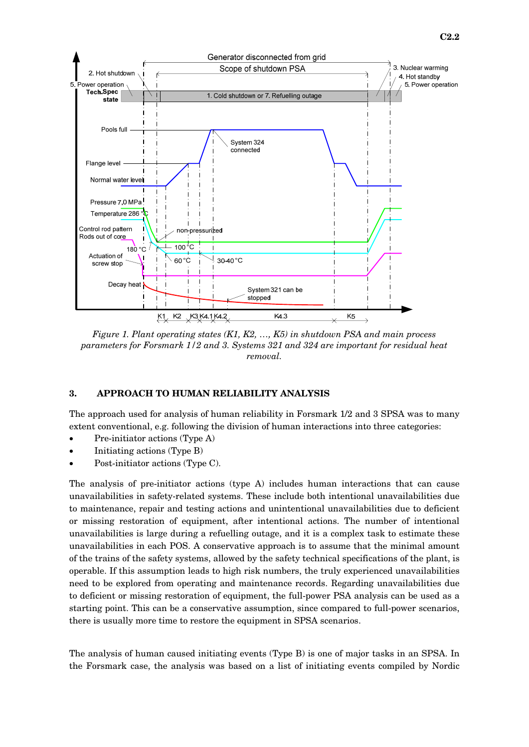

*Figure 1. Plant operating states (K1, K2, …, K5) in shutdown PSA and main process parameters for Forsmark 1/2 and 3. Systems 321 and 324 are important for residual heat removal.* 

### **3. APPROACH TO HUMAN RELIABILITY ANALYSIS**

The approach used for analysis of human reliability in Forsmark 1/2 and 3 SPSA was to many extent conventional, e.g. following the division of human interactions into three categories:

- Pre-initiator actions (Type A)
- Initiating actions (Type B)
- Post-initiator actions (Type C).

The analysis of pre-initiator actions (type A) includes human interactions that can cause unavailabilities in safety-related systems. These include both intentional unavailabilities due to maintenance, repair and testing actions and unintentional unavailabilities due to deficient or missing restoration of equipment, after intentional actions. The number of intentional unavailabilities is large during a refuelling outage, and it is a complex task to estimate these unavailabilities in each POS. A conservative approach is to assume that the minimal amount of the trains of the safety systems, allowed by the safety technical specifications of the plant, is operable. If this assumption leads to high risk numbers, the truly experienced unavailabilities need to be explored from operating and maintenance records. Regarding unavailabilities due to deficient or missing restoration of equipment, the full-power PSA analysis can be used as a starting point. This can be a conservative assumption, since compared to full-power scenarios, there is usually more time to restore the equipment in SPSA scenarios.

The analysis of human caused initiating events (Type B) is one of major tasks in an SPSA. In the Forsmark case, the analysis was based on a list of initiating events compiled by Nordic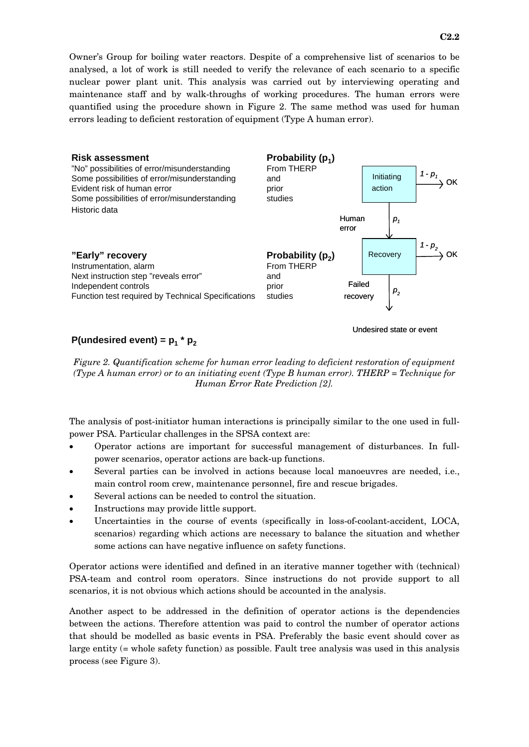Owner's Group for boiling water reactors. Despite of a comprehensive list of scenarios to be analysed, a lot of work is still needed to verify the relevance of each scenario to a specific nuclear power plant unit. This analysis was carried out by interviewing operating and maintenance staff and by walk-throughs of working procedures. The human errors were quantified using the procedure shown in Figure 2. The same method was used for human errors leading to deficient restoration of equipment (Type A human error).



# **P(undesired event) =**  $p_1$  $*$  $p_2$

Undesired state or event

*Figure 2. Quantification scheme for human error leading to deficient restoration of equipment (Type A human error) or to an initiating event (Type B human error). THERP = Technique for Human Error Rate Prediction [2].* 

The analysis of post-initiator human interactions is principally similar to the one used in fullpower PSA. Particular challenges in the SPSA context are:

- Operator actions are important for successful management of disturbances. In fullpower scenarios, operator actions are back-up functions.
- Several parties can be involved in actions because local manoeuvres are needed, i.e., main control room crew, maintenance personnel, fire and rescue brigades.
- Several actions can be needed to control the situation.
- Instructions may provide little support.
- Uncertainties in the course of events (specifically in loss-of-coolant-accident, LOCA, scenarios) regarding which actions are necessary to balance the situation and whether some actions can have negative influence on safety functions.

Operator actions were identified and defined in an iterative manner together with (technical) PSA-team and control room operators. Since instructions do not provide support to all scenarios, it is not obvious which actions should be accounted in the analysis.

Another aspect to be addressed in the definition of operator actions is the dependencies between the actions. Therefore attention was paid to control the number of operator actions that should be modelled as basic events in PSA. Preferably the basic event should cover as large entity (= whole safety function) as possible. Fault tree analysis was used in this analysis process (see Figure 3).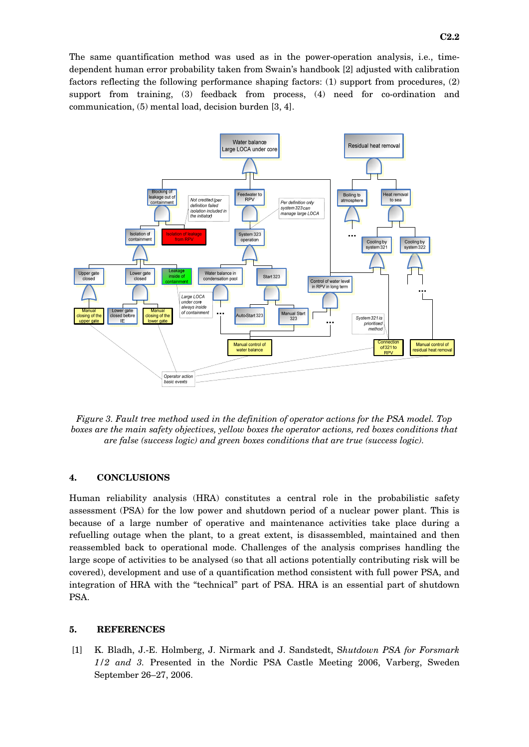The same quantification method was used as in the power-operation analysis, i.e., timedependent human error probability taken from Swain's handbook [2] adjusted with calibration factors reflecting the following performance shaping factors: (1) support from procedures, (2) support from training, (3) feedback from process, (4) need for co-ordination and communication, (5) mental load, decision burden [3, 4].



*Figure 3. Fault tree method used in the definition of operator actions for the PSA model. Top boxes are the main safety objectives, yellow boxes the operator actions, red boxes conditions that are false (success logic) and green boxes conditions that are true (success logic).* 

### **4. CONCLUSIONS**

Human reliability analysis (HRA) constitutes a central role in the probabilistic safety assessment (PSA) for the low power and shutdown period of a nuclear power plant. This is because of a large number of operative and maintenance activities take place during a refuelling outage when the plant, to a great extent, is disassembled, maintained and then reassembled back to operational mode. Challenges of the analysis comprises handling the large scope of activities to be analysed (so that all actions potentially contributing risk will be covered), development and use of a quantification method consistent with full power PSA, and integration of HRA with the "technical" part of PSA. HRA is an essential part of shutdown PSA.

#### **5. REFERENCES**

 [1] K. Bladh, J.-E. Holmberg, J. Nirmark and J. Sandstedt, S*hutdown PSA for Forsmark 1/2 and 3.* Presented in the Nordic PSA Castle Meeting 2006, Varberg, Sweden September 26–27, 2006.